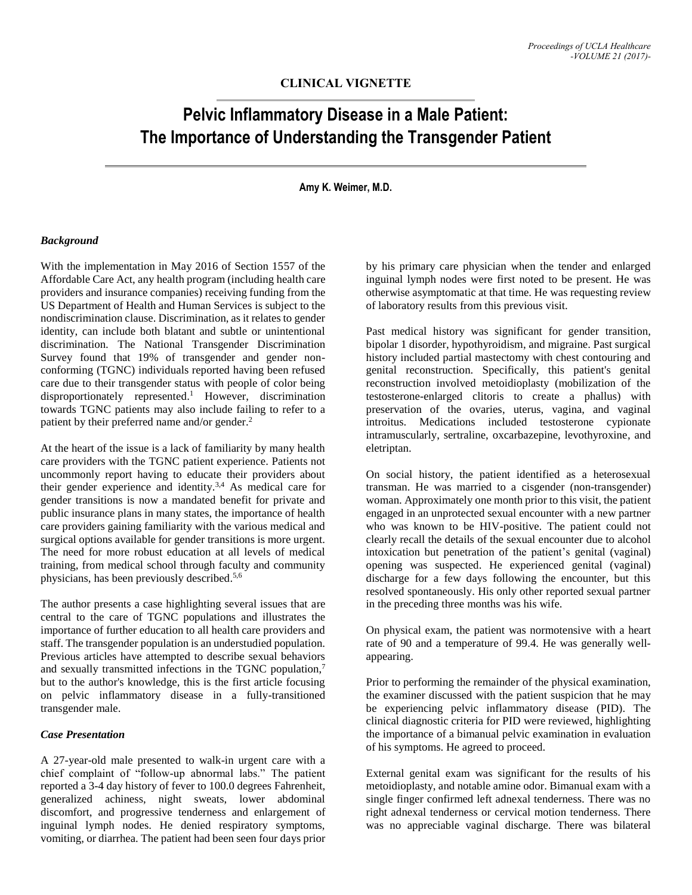# **CLINICAL VIGNETTE**

# **Pelvic Inflammatory Disease in a Male Patient: The Importance of Understanding the Transgender Patient**

# **Amy K. Weimer, M.D.**

#### *Background*

With the implementation in May 2016 of Section 1557 of the Affordable Care Act, any health program (including health care providers and insurance companies) receiving funding from the US Department of Health and Human Services is subject to the nondiscrimination clause. Discrimination, as it relates to gender identity, can include both blatant and subtle or unintentional discrimination. The National Transgender Discrimination Survey found that 19% of transgender and gender nonconforming (TGNC) individuals reported having been refused care due to their transgender status with people of color being disproportionately represented. <sup>1</sup> However, discrimination towards TGNC patients may also include failing to refer to a patient by their preferred name and/or gender.<sup>2</sup>

At the heart of the issue is a lack of familiarity by many health care providers with the TGNC patient experience. Patients not uncommonly report having to educate their providers about their gender experience and identity.<sup>3,4</sup> As medical care for gender transitions is now a mandated benefit for private and public insurance plans in many states, the importance of health care providers gaining familiarity with the various medical and surgical options available for gender transitions is more urgent. The need for more robust education at all levels of medical training, from medical school through faculty and community physicians, has been previously described. 5,6

The author presents a case highlighting several issues that are central to the care of TGNC populations and illustrates the importance of further education to all health care providers and staff. The transgender population is an understudied population. Previous articles have attempted to describe sexual behaviors and sexually transmitted infections in the TGNC population,<sup>7</sup> but to the author's knowledge, this is the first article focusing on pelvic inflammatory disease in a fully-transitioned transgender male.

## *Case Presentation*

A 27-year-old male presented to walk-in urgent care with a chief complaint of "follow-up abnormal labs." The patient reported a 3-4 day history of fever to 100.0 degrees Fahrenheit, generalized achiness, night sweats, lower abdominal discomfort, and progressive tenderness and enlargement of inguinal lymph nodes. He denied respiratory symptoms, vomiting, or diarrhea. The patient had been seen four days prior by his primary care physician when the tender and enlarged inguinal lymph nodes were first noted to be present. He was otherwise asymptomatic at that time. He was requesting review of laboratory results from this previous visit.

Past medical history was significant for gender transition, bipolar 1 disorder, hypothyroidism, and migraine. Past surgical history included partial mastectomy with chest contouring and genital reconstruction. Specifically, this patient's genital reconstruction involved metoidioplasty (mobilization of the testosterone-enlarged clitoris to create a phallus) with preservation of the ovaries, uterus, vagina, and vaginal introitus. Medications included testosterone cypionate intramuscularly, sertraline, oxcarbazepine, levothyroxine, and eletriptan.

On social history, the patient identified as a heterosexual transman. He was married to a cisgender (non-transgender) woman. Approximately one month prior to this visit, the patient engaged in an unprotected sexual encounter with a new partner who was known to be HIV-positive. The patient could not clearly recall the details of the sexual encounter due to alcohol intoxication but penetration of the patient's genital (vaginal) opening was suspected. He experienced genital (vaginal) discharge for a few days following the encounter, but this resolved spontaneously. His only other reported sexual partner in the preceding three months was his wife.

On physical exam, the patient was normotensive with a heart rate of 90 and a temperature of 99.4. He was generally wellappearing.

Prior to performing the remainder of the physical examination, the examiner discussed with the patient suspicion that he may be experiencing pelvic inflammatory disease (PID). The clinical diagnostic criteria for PID were reviewed, highlighting the importance of a bimanual pelvic examination in evaluation of his symptoms. He agreed to proceed.

External genital exam was significant for the results of his metoidioplasty, and notable amine odor. Bimanual exam with a single finger confirmed left adnexal tenderness. There was no right adnexal tenderness or cervical motion tenderness. There was no appreciable vaginal discharge. There was bilateral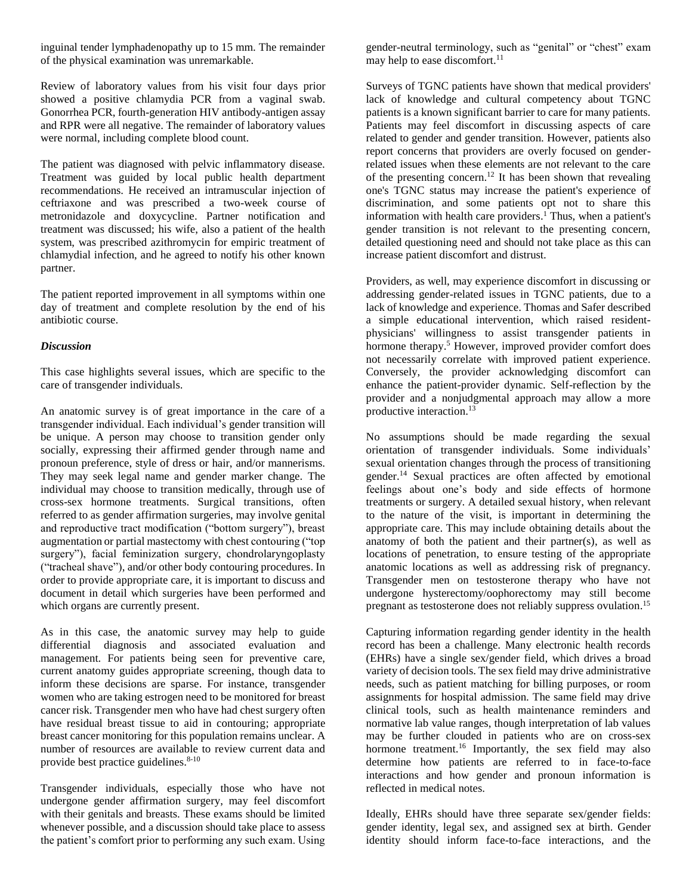inguinal tender lymphadenopathy up to 15 mm. The remainder of the physical examination was unremarkable.

Review of laboratory values from his visit four days prior showed a positive chlamydia PCR from a vaginal swab. Gonorrhea PCR, fourth-generation HIV antibody-antigen assay and RPR were all negative. The remainder of laboratory values were normal, including complete blood count.

The patient was diagnosed with pelvic inflammatory disease. Treatment was guided by local public health department recommendations. He received an intramuscular injection of ceftriaxone and was prescribed a two-week course of metronidazole and doxycycline. Partner notification and treatment was discussed; his wife, also a patient of the health system, was prescribed azithromycin for empiric treatment of chlamydial infection, and he agreed to notify his other known partner.

The patient reported improvement in all symptoms within one day of treatment and complete resolution by the end of his antibiotic course.

## *Discussion*

This case highlights several issues, which are specific to the care of transgender individuals.

An anatomic survey is of great importance in the care of a transgender individual. Each individual's gender transition will be unique. A person may choose to transition gender only socially, expressing their affirmed gender through name and pronoun preference, style of dress or hair, and/or mannerisms. They may seek legal name and gender marker change. The individual may choose to transition medically, through use of cross-sex hormone treatments. Surgical transitions, often referred to as gender affirmation surgeries, may involve genital and reproductive tract modification ("bottom surgery"), breast augmentation or partial mastectomy with chest contouring ("top surgery"), facial feminization surgery, chondrolaryngoplasty ("tracheal shave"), and/or other body contouring procedures. In order to provide appropriate care, it is important to discuss and document in detail which surgeries have been performed and which organs are currently present.

As in this case, the anatomic survey may help to guide differential diagnosis and associated evaluation and management. For patients being seen for preventive care, current anatomy guides appropriate screening, though data to inform these decisions are sparse. For instance, transgender women who are taking estrogen need to be monitored for breast cancer risk. Transgender men who have had chest surgery often have residual breast tissue to aid in contouring; appropriate breast cancer monitoring for this population remains unclear. A number of resources are available to review current data and provide best practice guidelines. 8-10

Transgender individuals, especially those who have not undergone gender affirmation surgery, may feel discomfort with their genitals and breasts. These exams should be limited whenever possible, and a discussion should take place to assess the patient's comfort prior to performing any such exam. Using gender-neutral terminology, such as "genital" or "chest" exam may help to ease discomfort.<sup>11</sup>

Surveys of TGNC patients have shown that medical providers' lack of knowledge and cultural competency about TGNC patients is a known significant barrier to care for many patients. Patients may feel discomfort in discussing aspects of care related to gender and gender transition. However, patients also report concerns that providers are overly focused on genderrelated issues when these elements are not relevant to the care of the presenting concern. <sup>12</sup> It has been shown that revealing one's TGNC status may increase the patient's experience of discrimination, and some patients opt not to share this information with health care providers. <sup>1</sup> Thus, when a patient's gender transition is not relevant to the presenting concern, detailed questioning need and should not take place as this can increase patient discomfort and distrust.

Providers, as well, may experience discomfort in discussing or addressing gender-related issues in TGNC patients, due to a lack of knowledge and experience. Thomas and Safer described a simple educational intervention, which raised residentphysicians' willingness to assist transgender patients in hormone therapy.<sup>5</sup> However, improved provider comfort does not necessarily correlate with improved patient experience. Conversely, the provider acknowledging discomfort can enhance the patient-provider dynamic. Self-reflection by the provider and a nonjudgmental approach may allow a more productive interaction. 13

No assumptions should be made regarding the sexual orientation of transgender individuals. Some individuals' sexual orientation changes through the process of transitioning gender. <sup>14</sup> Sexual practices are often affected by emotional feelings about one's body and side effects of hormone treatments or surgery. A detailed sexual history, when relevant to the nature of the visit, is important in determining the appropriate care. This may include obtaining details about the anatomy of both the patient and their partner(s), as well as locations of penetration, to ensure testing of the appropriate anatomic locations as well as addressing risk of pregnancy. Transgender men on testosterone therapy who have not undergone hysterectomy/oophorectomy may still become pregnant as testosterone does not reliably suppress ovulation. 15

Capturing information regarding gender identity in the health record has been a challenge. Many electronic health records (EHRs) have a single sex/gender field, which drives a broad variety of decision tools. The sex field may drive administrative needs, such as patient matching for billing purposes, or room assignments for hospital admission. The same field may drive clinical tools, such as health maintenance reminders and normative lab value ranges, though interpretation of lab values may be further clouded in patients who are on cross-sex hormone treatment.<sup>16</sup> Importantly, the sex field may also determine how patients are referred to in face-to-face interactions and how gender and pronoun information is reflected in medical notes.

Ideally, EHRs should have three separate sex/gender fields: gender identity, legal sex, and assigned sex at birth. Gender identity should inform face-to-face interactions, and the